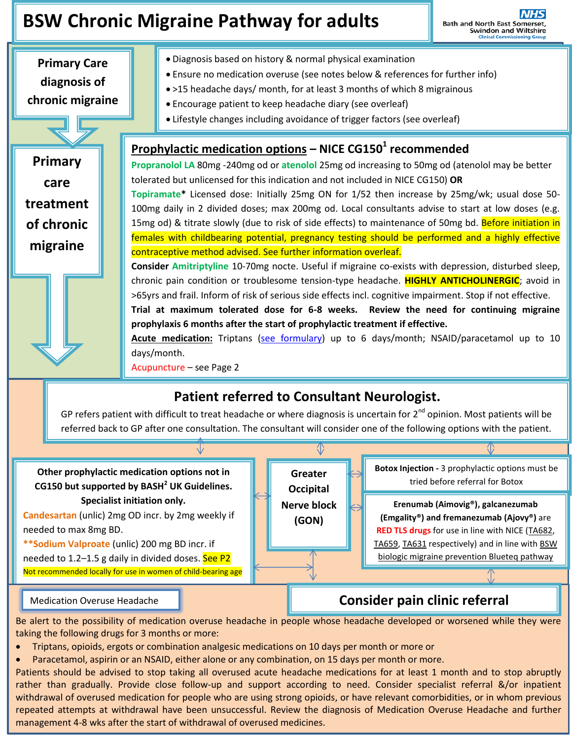# **BSW Chronic Migraine Pathway for adults**

**Bath and North East Somerset,<br>Swindon and Wiltshire<br>Clinical Commissioning Group** 

**Primary Care diagnosis of chronic migraine**

.

**Primary** 

**care** 

**treatment** 

**of chronic** 

**migraine**

- Diagnosis based on history & normal physical examination
- Ensure no medication overuse (see notes below & references for further info)
- >15 headache days/ month, for at least 3 months of which 8 migrainous
	- Encourage patient to keep headache diary (see overleaf)
	- Lifestyle changes including avoidance of trigger factors (see overleaf)

## **Prophylactic medication options – NICE CG150<sup>1</sup> recommended**

**Propranolol LA** 80mg -240mg od or **atenolol** 25mg od increasing to 50mg od (atenolol may be better tolerated but unlicensed for this indication and not included in NICE CG150) **OR**

**Topiramate\*** Licensed dose: Initially 25mg ON for 1/52 then increase by 25mg/wk; usual dose 50- 100mg daily in 2 divided doses; max 200mg od. Local consultants advise to start at low doses (e.g. 15mg od) & titrate slowly (due to risk of side effects) to maintenance of 50mg bd. Before initiation in females with childbearing potential, pregnancy testing should be performed and a highly effective contraceptive method advised. See further information overleaf.

**Consider Amitriptyline** 10-70mg nocte. Useful if migraine co-exists with depression, disturbed sleep, chronic pain condition or troublesome tension-type headache. **HIGHLY ANTICHOLINERGIC**; avoid in >65yrs and frail. Inform of risk of serious side effects incl. cognitive impairment. Stop if not effective.

**Trial at maximum tolerated dose for 6-8 weeks. Review the need for continuing migraine prophylaxis 6 months after the start of prophylactic treatment if effective.**

**Acute medication:** Triptans [\(see formulary\)](http://bswformulary.nhs.uk/chaptersSubDetails.asp?FormularySectionID=4&SubSectionRef=04.07.04.01&SubSectionID=C100&drugmatch=1555#1555) up to 6 days/month; NSAID/paracetamol up to 10 days/month.

Acupuncture – see Page 2

## **Patient referred to Consultant Neurologist.**

GP refers patient with difficult to treat headache or where diagnosis is uncertain for  $2^{nd}$  opinion. Most patients will be referred back to GP after one consultation. The consultant will consider one of the following options with the patient.

⊕

**Other prophylactic medication options not in CG150 but supported by BASH<sup>2</sup> UK Guidelines. Specialist initiation only.**

**Candesartan** (unlic) 2mg OD incr. by 2mg weekly if needed to max 8mg BD.

**\*\*Sodium Valproate** (unlic) 200 mg BD incr. if needed to 1.2–1.5 g daily in divided doses. See P2 Not recommended locally for use in women of child-bearing age



**Botox Injection -** 3 prophylactic options must be tried before referral for Botox

**Erenumab (Aimovig®), galcanezumab (Emgality®) and fremanezumab (Ajovy®)** are **RED TLS drugs** for use in line with NICE [\(TA682,](http://www.nice.org.uk/guidance/ta682) [TA659,](http://www.nice.org.uk/guidance/ta659) [TA631](http://www.nice.org.uk/guidance/ta631) respectively) and in line with [BSW](https://prescribing.bswccg.nhs.uk/blueteq)  [biologic migraine prevention Blueteq pathway](https://prescribing.bswccg.nhs.uk/blueteq)

## Medication Overuse Headache **Consider pain clinic referral**

Be alert to the possibility of medication overuse headache in people whose headache developed or worsened while they were taking the following drugs for 3 months or more:

- Triptans, opioids, ergots or combination analgesic medications on 10 days per month or more or
- Paracetamol, aspirin or an NSAID, either alone or any combination, on 15 days per month or more.

withdrawal of overused medication for people who are using strong opioids, or have relevant comorbidities, or in whom previous repeated attempts at withdrawal have been unsuccessful. Review the diagnosis of Medication Overuse Headache and further Patients should be advised to stop taking all overused acute headache medications for at least 1 month and to stop abruptly rather than gradually. Provide close follow-up and support according to need. Consider specialist referral &/or inpatient management 4-8 wks after the start of withdrawal of overused medicines.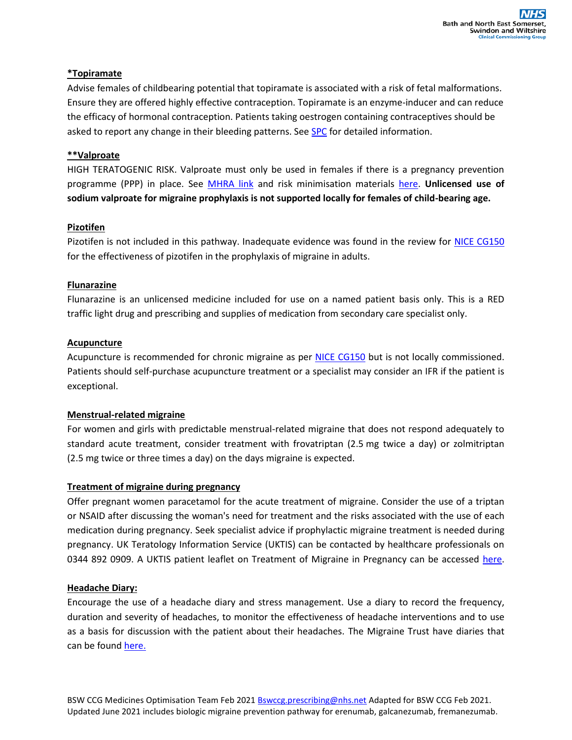#### **\*Topiramate**

Advise females of childbearing potential that topiramate is associated with a risk of fetal malformations. Ensure they are offered highly effective contraception. Topiramate is an enzyme-inducer and can reduce the efficacy of hormonal contraception. Patients taking oestrogen containing contraceptives should be asked to report any change in their bleeding patterns. See [SPC](https://www.medicines.org.uk/emc/search?q=topiramate) for detailed information.

#### **\*\*Valproate**

HIGH TERATOGENIC RISK. Valproate must only be used in females if there is a pregnancy prevention programme (PPP) in place. See **MHRA link** and risk minimisation materials [here.](https://www.medicines.org.uk/emc/product/519/rmms) **Unlicensed use of sodium valproate for migraine prophylaxis is not supported locally for females of child-bearing age.**

#### **Pizotifen**

Pizotifen is not included in this pathway. Inadequate evidence was found in the review for **NICE CG150** for the effectiveness of pizotifen in the prophylaxis of migraine in adults.

#### **Flunarazine**

Flunarazine is an unlicensed medicine included for use on a named patient basis only. This is a RED traffic light drug and prescribing and supplies of medication from secondary care specialist only.

#### **Acupuncture**

Acupuncture is recommended for chronic migraine as per [NICE CG150](https://www.nice.org.uk/guidance/cg150) but is not locally commissioned. Patients should self-purchase acupuncture treatment or a specialist may consider an IFR if the patient is exceptional.

### **Menstrual-related migraine**

For women and girls with predictable menstrual-related migraine that does not respond adequately to standard acute treatment, consider treatment with frovatriptan (2.5 mg twice a day) or zolmitriptan (2.5 mg twice or three times a day) on the days migraine is expected.

#### **Treatment of migraine during pregnancy**

Offer pregnant women paracetamol for the acute treatment of migraine. Consider the use of a triptan or NSAID after discussing the woman's need for treatment and the risks associated with the use of each medication during pregnancy. Seek specialist advice if prophylactic migraine treatment is needed during pregnancy. UK Teratology Information Service (UKTIS) can be contacted by healthcare professionals on 0344 892 0909. A UKTIS patient leaflet on Treatment of Migraine in Pregnancy can be accessed [here.](https://www.medicinesinpregnancy.org/Medicine--pregnancy/Migraine/)

#### **Headache Diary:**

Encourage the use of a headache diary and stress management. Use a diary to record the frequency, duration and severity of headaches, to monitor the effectiveness of headache interventions and to use as a basis for discussion with the patient about their headaches. The Migraine Trust have diaries that can be found [here.](https://www.migrainetrust.org/living-with-migraine/coping-managing/keeping-a-migraine-diary/)